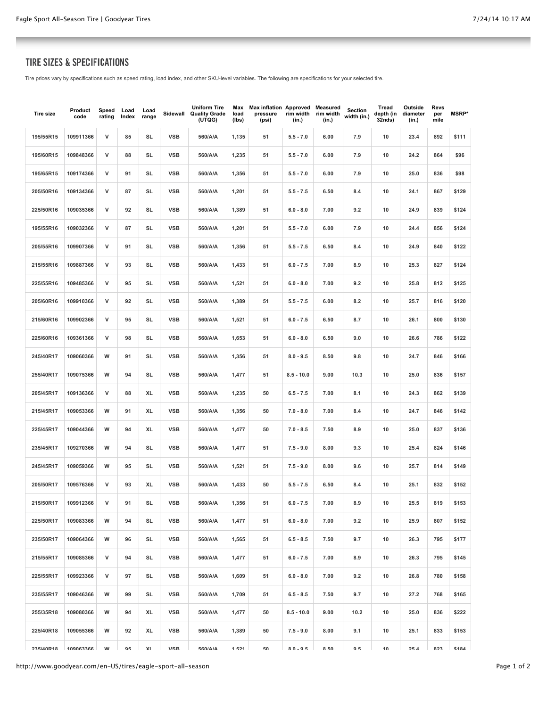## TIRE SIZES & SPECIFICATIONS

Tire prices vary by specifications such as speed rating, load index, and other SKU-level variables. The following are specifications for your selected tire.

| <b>Tire size</b> | Product<br>code | Speed<br>rating | Load<br>Index | Load<br>range | Sidewall   | <b>Uniform Tire</b><br><b>Quality Grade</b><br>(UTQG) | Max<br>load<br>(lbs) | Max inflation Approved Measured<br>pressure<br>(psi) | rim width<br>(in.) | rim width<br>(in.) | Section<br>width (in.) | Tread<br>depth (in<br>32nds) | Outside<br>diameter<br>(in.) | Revs<br>per<br>mile | <b>MSRP*</b> |
|------------------|-----------------|-----------------|---------------|---------------|------------|-------------------------------------------------------|----------------------|------------------------------------------------------|--------------------|--------------------|------------------------|------------------------------|------------------------------|---------------------|--------------|
| 195/55R15        | 109911366       | v               | 85            | SL            | <b>VSB</b> | 560/A/A                                               | 1,135                | 51                                                   | $5.5 - 7.0$        | 6.00               | 7.9                    | 10                           | 23.4                         | 892                 | \$111        |
| 195/60R15        | 109848366       | v               | 88            | SL            | <b>VSB</b> | 560/A/A                                               | 1,235                | 51                                                   | $5.5 - 7.0$        | 6.00               | 7.9                    | 10                           | 24.2                         | 864                 | \$96         |
| 195/65R15        | 109174366       | v               | 91            | SL            | <b>VSB</b> | 560/A/A                                               | 1,356                | 51                                                   | $5.5 - 7.0$        | 6.00               | 7.9                    | 10                           | 25.0                         | 836                 | \$98         |
| 205/50R16        | 109134366       | v               | 87            | SL            | <b>VSB</b> | 560/A/A                                               | 1,201                | 51                                                   | $5.5 - 7.5$        | 6.50               | 8.4                    | 10                           | 24.1                         | 867                 | \$129        |
| 225/50R16        | 109035366       | v               | 92            | <b>SL</b>     | <b>VSB</b> | 560/A/A                                               | 1,389                | 51                                                   | $6.0 - 8.0$        | 7.00               | 9.2                    | 10                           | 24.9                         | 839                 | \$124        |
| 195/55R16        | 109032366       | v               | 87            | SL            | <b>VSB</b> | 560/A/A                                               | 1,201                | 51                                                   | $5.5 - 7.0$        | 6.00               | 7.9                    | 10                           | 24.4                         | 856                 | \$124        |
| 205/55R16        | 109907366       | v               | 91            | SL            | <b>VSB</b> | 560/A/A                                               | 1,356                | 51                                                   | $5.5 - 7.5$        | 6.50               | 8.4                    | 10                           | 24.9                         | 840                 | \$122        |
| 215/55R16        | 109887366       | v               | 93            | SL            | <b>VSB</b> | 560/A/A                                               | 1,433                | 51                                                   | $6.0 - 7.5$        | 7.00               | 8.9                    | 10                           | 25.3                         | 827                 | \$124        |
| 225/55R16        | 109485366       | v               | 95            | SL            | <b>VSB</b> | 560/A/A                                               | 1,521                | 51                                                   | $6.0 - 8.0$        | 7.00               | 9.2                    | 10                           | 25.8                         | 812                 | \$125        |
| 205/60R16        | 109910366       | v               | 92            | SL            | <b>VSB</b> | 560/A/A                                               | 1,389                | 51                                                   | $5.5 - 7.5$        | 6.00               | 8.2                    | 10                           | 25.7                         | 816                 | \$120        |
| 215/60R16        | 109902366       | v               | 95            | SL            | <b>VSB</b> | 560/A/A                                               | 1,521                | 51                                                   | $6.0 - 7.5$        | 6.50               | 8.7                    | 10                           | 26.1                         | 800                 | \$130        |
| 225/60R16        | 109361366       | v               | 98            | <b>SL</b>     | <b>VSB</b> | 560/A/A                                               | 1,653                | 51                                                   | $6.0 - 8.0$        | 6.50               | 9.0                    | 10                           | 26.6                         | 786                 | \$122        |
| 245/40R17        | 109060366       | w               | 91            | SL            | <b>VSB</b> | 560/A/A                                               | 1,356                | 51                                                   | $8.0 - 9.5$        | 8.50               | 9.8                    | 10                           | 24.7                         | 846                 | \$166        |
| 255/40R17        | 109075366       | w               | 94            | <b>SL</b>     | <b>VSB</b> | 560/A/A                                               | 1,477                | 51                                                   | $8.5 - 10.0$       | 9.00               | 10.3                   | 10                           | 25.0                         | 836                 | \$157        |
| 205/45R17        | 109136366       | v               | 88            | XL            | <b>VSB</b> | 560/A/A                                               | 1,235                | 50                                                   | $6.5 - 7.5$        | 7.00               | 8.1                    | 10                           | 24.3                         | 862                 | \$139        |
| 215/45R17        | 109053366       | W               | 91            | XL            | <b>VSB</b> | 560/A/A                                               | 1,356                | 50                                                   | $7.0 - 8.0$        | 7.00               | 8.4                    | 10                           | 24.7                         | 846                 | \$142        |
| 225/45R17        | 109044366       | w               | 94            | XL            | <b>VSB</b> | 560/A/A                                               | 1,477                | 50                                                   | $7.0 - 8.5$        | 7.50               | 8.9                    | 10                           | 25.0                         | 837                 | \$136        |
| 235/45R17        | 109270366       | w               | 94            | SL            | <b>VSB</b> | 560/A/A                                               | 1,477                | 51                                                   | $7.5 - 9.0$        | 8.00               | 9.3                    | 10                           | 25.4                         | 824                 | \$146        |
| 245/45R17        | 109059366       | w               | 95            | SL            | <b>VSB</b> | 560/A/A                                               | 1,521                | 51                                                   | $7.5 - 9.0$        | 8.00               | 9.6                    | 10                           | 25.7                         | 814                 | \$149        |
| 205/50R17        | 109576366       | v               | 93            | XL            | <b>VSB</b> | 560/A/A                                               | 1,433                | 50                                                   | $5.5 - 7.5$        | 6.50               | 8.4                    | 10                           | 25.1                         | 832                 | \$152        |
| 215/50R17        | 109912366       | ۷               | 91            | SL            | <b>VSB</b> | 560/A/A                                               | 1,356                | 51                                                   | $6.0 - 7.5$        | 7.00               | 8.9                    | 10                           | 25.5                         | 819                 | \$153        |
| 225/50R17        | 109083366       | W               | 94            | SL            | <b>VSB</b> | 560/A/A                                               | 1,477                | 51                                                   | $6.0 - 8.0$        | 7.00               | 9.2                    | 10                           | 25.9                         | 807                 | \$152        |
| 235/50R17        | 109064366       | w               | 96            | SL            | <b>VSB</b> | 560/A/A                                               | 1,565                | 51                                                   | $6.5 - 8.5$        | 7.50               | 9.7                    | 10                           | 26.3                         | 795                 | \$177        |
| 215/55R17        | 109085366       | V               | 94            | SL            | <b>VSB</b> | 560/A/A                                               | 1,477                | 51                                                   | $6.0 - 7.5$        | 7.00               | 8.9                    | 10                           | 26.3                         | 795                 | \$145        |
| 225/55R17        | 109923366       | V               | 97            | SL            | VSB        | 560/A/A                                               | 1,609                | 51                                                   | $6.0 - 8.0$        | 7.00               | 9.2                    | 10                           | 26.8                         | 780                 | \$158        |
| 235/55R17        | 109046366       | w               | 99            | SL            | <b>VSB</b> | 560/A/A                                               | 1,709                | 51                                                   | $6.5 - 8.5$        | 7.50               | 9.7                    | 10                           | 27.2                         | 768                 | \$165        |
| 255/35R18        | 109080366       | w               | 94            | XL            | <b>VSB</b> | 560/A/A                                               | 1,477                | 50                                                   | $8.5 - 10.0$       | 9.00               | 10.2                   | 10                           | 25.0                         | 836                 | \$222        |
| 225/40R18        | 109055366       | W               | 92            | XL            | VSB        | 560/A/A                                               | 1,389                | 50                                                   | $7.5 - 9.0$        | 8.00               | 9.1                    | 10                           | 25.1                         | 833                 | \$153        |
| 235/40R18        | 332230901       | w               | 95            | ΥI            | <b>VSR</b> | <b>560/A/A</b>                                        | 1521                 | 50                                                   | $R0 - Q5$          | 8.50               | 95                     | 10                           | 25A                          | 823                 | \$184        |